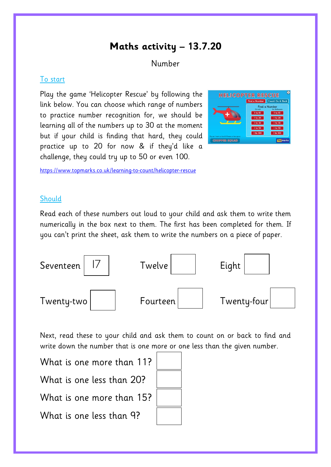# **Maths activity – 13.7.20**

## Number

#### To start

Play the game 'Helicopter Rescue' by following the link below. You can choose which range of numbers to practice number recognition for, we should be learning all of the numbers up to 30 at the moment but if your child is finding that hard, they could practice up to 20 for now & if they'd like a challenge, they could try up to 50 or even 100.



<https://www.topmarks.co.uk/learning-to-count/helicopter-rescue>

### **Should**

Read each of these numbers out loud to your child and ask them to write them numerically in the box next to them. The first has been completed for them. If you can't print the sheet, ask them to write the numbers on a piece of paper.



Next, read these to your child and ask them to count on or back to find and write down the number that is one more or one less than the given number.

What is one more than 11? What is one less than 20? What is one more than 15? What is one less than 9?